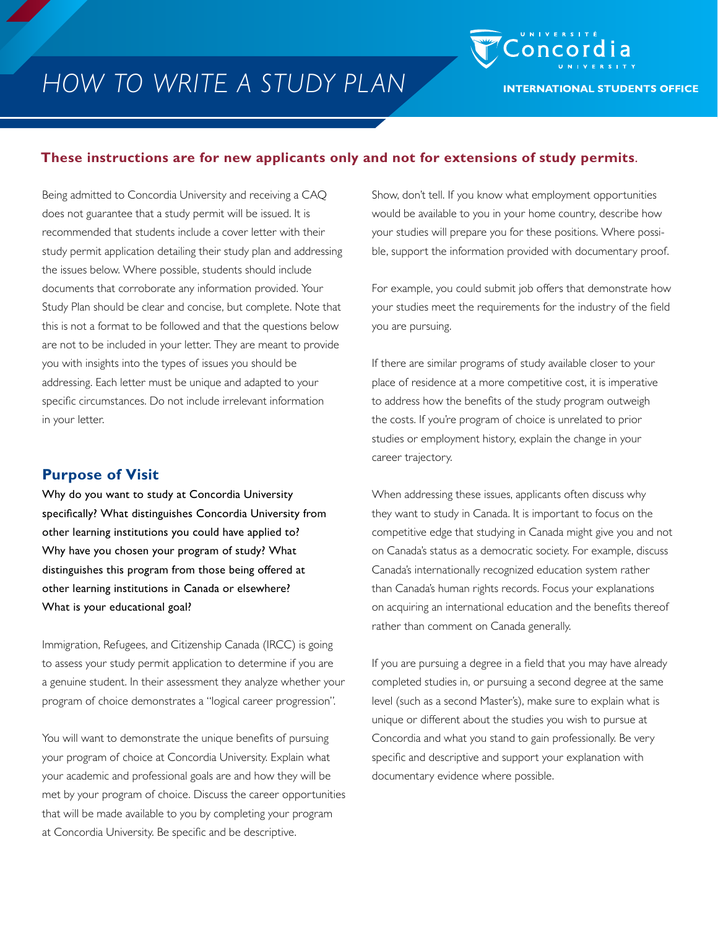

#### **These instructions are for new applicants only and not for extensions of study permits**.

Being admitted to Concordia University and receiving a CAQ does not guarantee that a study permit will be issued. It is recommended that students include a cover letter with their study permit application detailing their study plan and addressing the issues below. Where possible, students should include documents that corroborate any information provided. Your Study Plan should be clear and concise, but complete. Note that this is not a format to be followed and that the questions below are not to be included in your letter. They are meant to provide you with insights into the types of issues you should be addressing. Each letter must be unique and adapted to your specific circumstances. Do not include irrelevant information in your letter.

#### **Purpose of Visit**

Why do you want to study at Concordia University specifically? What distinguishes Concordia University from other learning institutions you could have applied to? Why have you chosen your program of study? What distinguishes this program from those being offered at other learning institutions in Canada or elsewhere? What is your educational goal?

Immigration, Refugees, and Citizenship Canada (IRCC) is going to assess your study permit application to determine if you are a genuine student. In their assessment they analyze whether your program of choice demonstrates a "logical career progression".

You will want to demonstrate the unique benefits of pursuing your program of choice at Concordia University. Explain what your academic and professional goals are and how they will be met by your program of choice. Discuss the career opportunities that will be made available to you by completing your program at Concordia University. Be specific and be descriptive.

Show, don't tell. If you know what employment opportunities would be available to you in your home country, describe how your studies will prepare you for these positions. Where possible, support the information provided with documentary proof.

For example, you could submit job offers that demonstrate how your studies meet the requirements for the industry of the field you are pursuing.

If there are similar programs of study available closer to your place of residence at a more competitive cost, it is imperative to address how the benefits of the study program outweigh the costs. If you're program of choice is unrelated to prior studies or employment history, explain the change in your career trajectory.

When addressing these issues, applicants often discuss why they want to study in Canada. It is important to focus on the competitive edge that studying in Canada might give you and not on Canada's status as a democratic society. For example, discuss Canada's internationally recognized education system rather than Canada's human rights records. Focus your explanations on acquiring an international education and the benefits thereof rather than comment on Canada generally.

If you are pursuing a degree in a field that you may have already completed studies in, or pursuing a second degree at the same level (such as a second Master's), make sure to explain what is unique or different about the studies you wish to pursue at Concordia and what you stand to gain professionally. Be very specific and descriptive and support your explanation with documentary evidence where possible.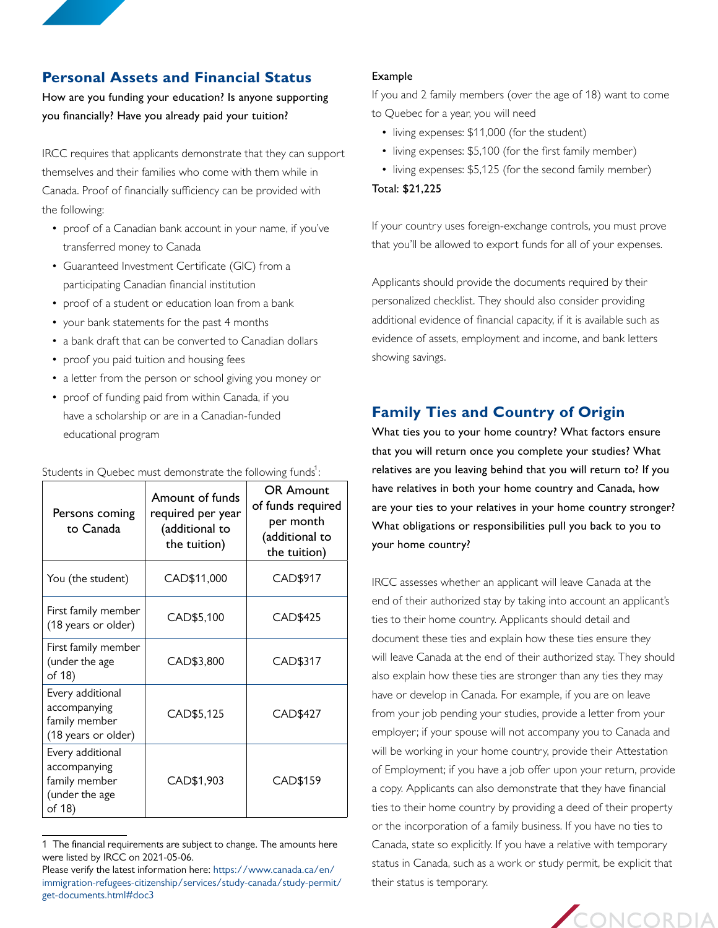## **Personal Assets and Financial Status**

How are you funding your education? Is anyone supporting you financially? Have you already paid your tuition?

IRCC requires that applicants demonstrate that they can support themselves and their families who come with them while in Canada. Proof of financially sufficiency can be provided with the following:

- proof of a Canadian bank account in your name, if you've transferred money to Canada
- Guaranteed Investment Certificate (GIC) from a participating Canadian financial institution
- proof of a student or education loan from a bank
- your bank statements for the past 4 months
- a bank draft that can be converted to Canadian dollars
- proof you paid tuition and housing fees
- a letter from the person or school giving you money or
- proof of funding paid from within Canada, if you have a scholarship or are in a Canadian-funded educational program

| Persons coming<br>to Canada                                                   | Amount of funds<br>required per year<br>(additional to<br>the tuition) | <b>OR Amount</b><br>of funds required<br>per month<br>(additional to<br>the tuition) |
|-------------------------------------------------------------------------------|------------------------------------------------------------------------|--------------------------------------------------------------------------------------|
| You (the student)                                                             | CAD\$11,000                                                            | CAD\$917                                                                             |
| First family member<br>(18 years or older)                                    | CAD\$5,100                                                             | CAD\$425                                                                             |
| First family member<br>(under the age<br>of 18)                               | CAD\$3,800                                                             | CAD\$317                                                                             |
| Every additional<br>accompanying<br>family member<br>(18 years or older)      | CAD\$5,125                                                             | CAD\$427                                                                             |
| Every additional<br>accompanying<br>family member<br>(under the age<br>of 18) | CAD\$1,903                                                             | CAD\$159                                                                             |

Students in Quebec must demonstrate the following funds $^1$ :

#### Example

If you and 2 family members (over the age of 18) want to come to Quebec for a year, you will need

- living expenses: \$11,000 (for the student)
- living expenses: \$5,100 (for the first family member)
- living expenses: \$5,125 (for the second family member) Total: \$21,225

that you'll be allowed to export funds for all of your expenses.

If your country uses foreign-exchange controls, you must prove

Applicants should provide the documents required by their personalized checklist. They should also consider providing additional evidence of financial capacity, if it is available such as evidence of assets, employment and income, and bank letters showing savings.

# **Family Ties and Country of Origin**

What ties you to your home country? What factors ensure that you will return once you complete your studies? What relatives are you leaving behind that you will return to? If you have relatives in both your home country and Canada, how are your ties to your relatives in your home country stronger? What obligations or responsibilities pull you back to you to your home country?

IRCC assesses whether an applicant will leave Canada at the end of their authorized stay by taking into account an applicant's ties to their home country. Applicants should detail and document these ties and explain how these ties ensure they will leave Canada at the end of their authorized stay. They should also explain how these ties are stronger than any ties they may have or develop in Canada. For example, if you are on leave from your job pending your studies, provide a letter from your employer; if your spouse will not accompany you to Canada and will be working in your home country, provide their Attestation of Employment; if you have a job offer upon your return, provide a copy. Applicants can also demonstrate that they have financial ties to their home country by providing a deed of their property or the incorporation of a family business. If you have no ties to Canada, state so explicitly. If you have a relative with temporary status in Canada, such as a work or study permit, be explicit that their status is temporary.



<sup>1</sup> The financial requirements are subject to change. The amounts here were listed by IRCC on 2021-05-06.

Please verify the latest information here: [https://www.canada.ca/en/](https://www.canada.ca/en/immigration-refugees-citizenship/services/study-canada/study-permit/get-documents.html#doc3) [immigration-refugees-citizenship/services/study-canada/study-permit/](https://www.canada.ca/en/immigration-refugees-citizenship/services/study-canada/study-permit/get-documents.html#doc3) [get-documents.html#doc3](https://www.canada.ca/en/immigration-refugees-citizenship/services/study-canada/study-permit/get-documents.html#doc3)